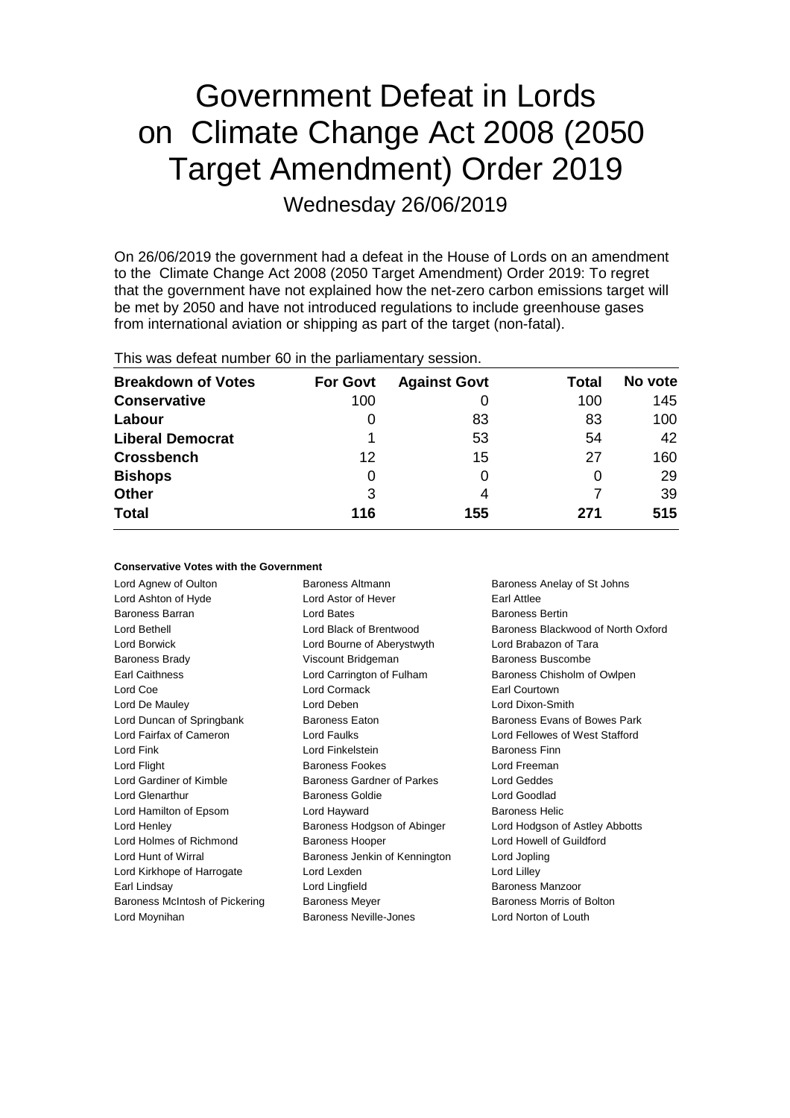# Government Defeat in Lords on Climate Change Act 2008 (2050 Target Amendment) Order 2019 Wednesday 26/06/2019

On 26/06/2019 the government had a defeat in the House of Lords on an amendment to the Climate Change Act 2008 (2050 Target Amendment) Order 2019: To regret that the government have not explained how the net-zero carbon emissions target will be met by 2050 and have not introduced regulations to include greenhouse gases from international aviation or shipping as part of the target (non-fatal).

| <b>Breakdown of Votes</b> | <b>For Govt</b> | <b>Against Govt</b> | Total | No vote |  |
|---------------------------|-----------------|---------------------|-------|---------|--|
| <b>Conservative</b>       | 100             |                     | 100   | 145     |  |
| Labour                    | O               | 83                  | 83    | 100     |  |
| <b>Liberal Democrat</b>   |                 | 53                  | 54    | 42      |  |
| <b>Crossbench</b>         | $12 \,$         | 15                  | 27    | 160     |  |
| <b>Bishops</b>            | 0               |                     | O     | 29      |  |
| <b>Other</b>              | 3               | 4                   |       | 39      |  |
| <b>Total</b>              | 116             | 155                 | 271   | 515     |  |
|                           |                 |                     |       |         |  |

This was defeat number 60 in the parliamentary session.

#### **Conservative Votes with the Government**

| <b>Baroness Altmann</b>                             | Baroness Anelay of St Johns        |  |
|-----------------------------------------------------|------------------------------------|--|
| Lord Astor of Hever<br>Earl Attlee                  |                                    |  |
| Lord Bates                                          | <b>Baroness Bertin</b>             |  |
| Lord Black of Brentwood                             | Baroness Blackwood of North Oxford |  |
| Lord Bourne of Aberystwyth<br>Lord Brabazon of Tara |                                    |  |
| Viscount Bridgeman<br>Baroness Buscombe             |                                    |  |
| Lord Carrington of Fulham                           | Baroness Chisholm of Owlpen        |  |
| Lord Cormack                                        | Earl Courtown                      |  |
| Lord Deben                                          | Lord Dixon-Smith                   |  |
| <b>Baroness Eaton</b>                               | Baroness Evans of Bowes Park       |  |
| <b>Lord Faulks</b>                                  | Lord Fellowes of West Stafford     |  |
| Lord Finkelstein                                    | <b>Baroness Finn</b>               |  |
| <b>Baroness Fookes</b>                              | Lord Freeman                       |  |
| Baroness Gardner of Parkes                          | Lord Geddes                        |  |
| Baroness Goldie                                     | Lord Goodlad                       |  |
| Lord Hayward                                        | <b>Baroness Helic</b>              |  |
| Baroness Hodgson of Abinger                         | Lord Hodgson of Astley Abbotts     |  |
| <b>Baroness Hooper</b>                              | Lord Howell of Guildford           |  |
| Baroness Jenkin of Kennington                       | Lord Jopling                       |  |
| Lord Lexden                                         | Lord Lilley                        |  |
| Baroness Manzoor<br>Lord Lingfield                  |                                    |  |
| <b>Baroness Meyer</b>                               | Baroness Morris of Bolton          |  |
| Baroness Neville-Jones                              | Lord Norton of Louth               |  |
|                                                     |                                    |  |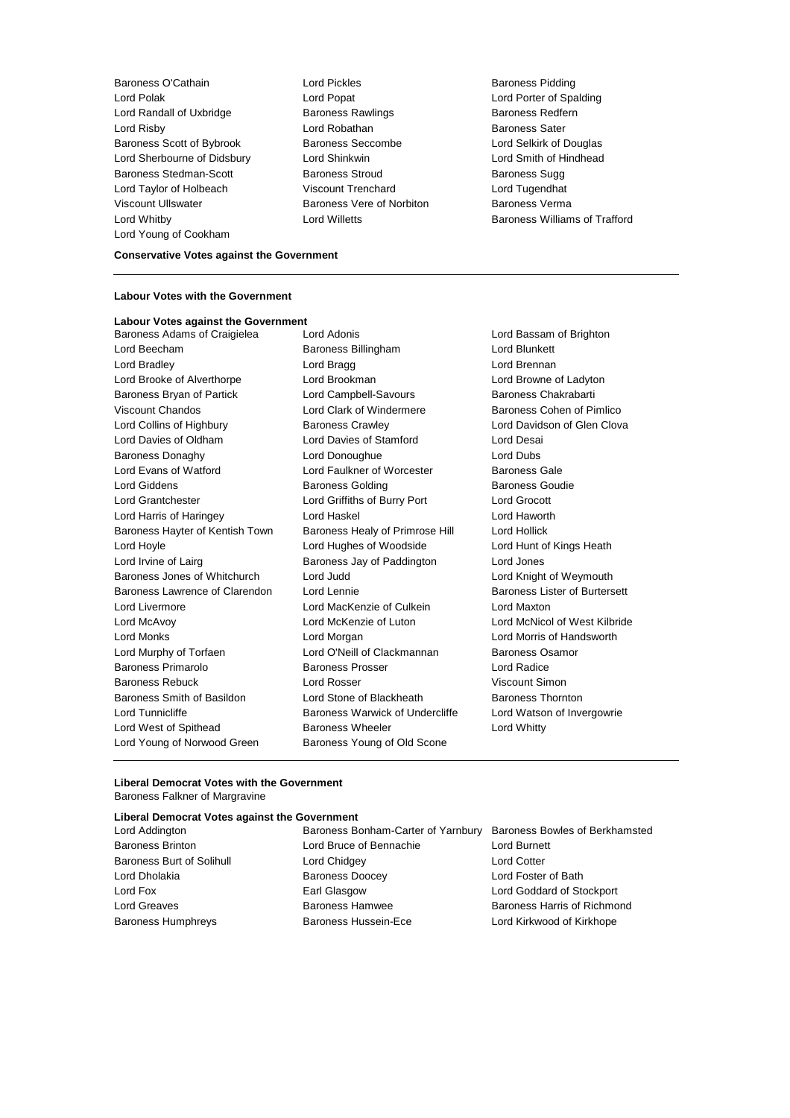Baroness O'Cathain **Lord Pickles Baroness Pidding Baroness Pidding** Lord Polak Lord Popat Lord Porter of Spalding Lord Randall of Uxbridge **Baroness Rawlings** Baroness Redfern Lord Risby **Lord Robathan** Baroness Sater Baroness Scott of Bybrook Baroness Seccombe Lord Selkirk of Douglas Lord Sherbourne of Didsbury Lord Shinkwin Lord Smith of Hindhead Baroness Stedman-Scott Baroness Stroud Baroness Sugg Lord Taylor of Holbeach Viscount Trenchard Lord Tugendhat Viscount Ullswater Baroness Vere of Norbiton Baroness Verma Lord Whitby Lord Willetts Baroness Williams of Trafford Lord Young of Cookham

**Conservative Votes against the Government**

#### **Labour Votes with the Government**

**Labour Votes against the Government** Baroness Adams of Craigielea Lord Adonis Lord Bassam of Brighton Lord Beecham **Baroness Billingham** Lord Blunkett Lord Bradley **Lord Bragg Lord Bragg Lord Brennan** Lord Brooke of Alverthorpe Lord Brookman Lord Browne of Ladyton Baroness Bryan of Partick Lord Campbell-Savours Baroness Chakrabarti Viscount Chandos **Lord Clark of Windermere** Baroness Cohen of Pimlico Lord Collins of Highbury Baroness Crawley Lord Davidson of Glen Clova Lord Davies of Oldham Lord Davies of Stamford Lord Desai Baroness Donaghy Lord Donoughue Lord Dubs Lord Evans of Watford Lord Faulkner of Worcester Baroness Gale Lord Giddens **Baroness Golding** Baroness Goudie Lord Grantchester Lord Griffiths of Burry Port Lord Grocott Lord Harris of Haringey Lord Haskel Lord Haworth Baroness Hayter of Kentish Town Baroness Healy of Primrose Hill Lord Hollick Lord Hoyle Lord Hughes of Woodside Lord Hunt of Kings Heath Lord Irvine of Lairg **Baroness Jay of Paddington** Lord Jones Baroness Jones of Whitchurch Lord Judd Lord Knight of Weymouth Baroness Lawrence of Clarendon Lord Lennie Baroness Lister of Burtersett Lord Livermore Lord MacKenzie of Culkein Lord Maxton Lord McAvoy Lord McKenzie of Luton Lord McNicol of West Kilbride Lord Monks Lord Morgan Lord Morris of Handsworth Lord Murphy of Torfaen **Lord O'Neill of Clackmannan** Baroness Osamor Baroness Primarolo Baroness Prosser Lord Radice Baroness Rebuck Lord Rosser Viscount Simon Baroness Smith of Basildon **Lord Stone of Blackheath** Baroness Thornton Lord Tunnicliffe **Baroness Warwick of Undercliffe** Lord Watson of Invergowrie Lord West of Spithead Baroness Wheeler Lord Whitty Lord Young of Norwood Green Baroness Young of Old Scone

#### **Liberal Democrat Votes with the Government** Baroness Falkner of Margravine

#### **Liberal Democrat Votes against the Government**

Lord Addington Baroness Bonham-Carter of Yarnbury Baroness Bowles of Berkhamsted Baroness Brinton Lord Bruce of Bennachie Lord Burnett Baroness Burt of Solihull Lord Chidgey Lord Cotter Lord Dholakia Baroness Doocey Lord Foster of Bath Lord Fox Earl Glasgow Lord Goddard of Stockport Baroness Humphreys Baroness Hussein-Ece Lord Kirkwood of Kirkhope

Lord Greaves **Baroness Hamwee** Baroness Hamwee **Baroness Hammed Baroness Hammed Baroness** Harris of Richmond